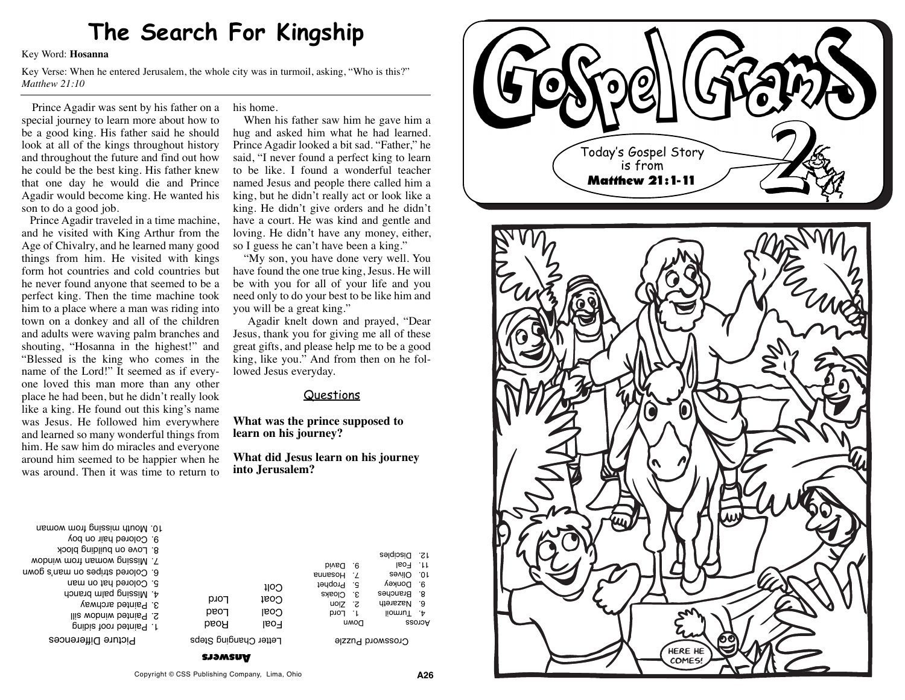# **The Search For Kingship**

### Key Word: **Hosanna**

Key Verse: When he entered Jerusalem, the whole city was in turmoil, asking, "Who is this?" *Matthew 21:10*

Prince Agadir was sent by his father on a special journey to learn more about how to be a good king. His father said he should look at all of the kings throughout history and throughout the future and find out how he could be the best king. His father knew that one day he would die and Prince Agadir would become king. He wanted his son to do a good job.

Prince Agadir traveled in a time machine, and he visited with King Arthur from the Age of Chivalry, and he learned many good things from him. He visited with kings form hot countries and cold countries but he never found anyone that seemed to be a perfect king. Then the time machine took him to a place where a man was riding into town on a donkey and all of the children and adults were waving palm branches and shouting, "Hosanna in the highest!" and "Blessed is the king who comes in the name of the Lord!" It seemed as if everyone loved this man more than any other place he had been, but he didn't really look like a king. He found out this king's name was Jesus. He followed him everywhere and learned so many wonderful things from him. He saw him do miracles and everyone around him seemed to be happier when he was around. Then it was time to return to

his home.

When his father saw him he gave him a hug and asked him what he had learned. Prince Agadir looked a bit sad. "Father," he said, "I never found a perfect king to learn to be like. I found a wonderful teacher named Jesus and people there called him a king, but he didn't really act or look like a king. He didn't give orders and he didn't have a court. He was kind and gentle and loving. He didn't have any money, either, so I guess he can't have been a king."

"My son, you have done very well. You have found the one true king, Jesus. He will be with you for all of your life and you need only to do your best to be like him and you will be a great king."

Agadir knelt down and prayed, "Dear Jesus, thank you for giving me all of these great gifts, and please help me to be a good king, like you." And from then on he followed Jesus everyday.

## Questions

## **What was the prince supposed to learn on his journey?**

**What did Jesus learn on his journey into Jerusalem?**

| pribis too befored. I                                                                                                                                                                                                                                       | <b>Hoad</b>           | ⊔mo                                          |                                                                                            |  |                                                                                                    |              |
|-------------------------------------------------------------------------------------------------------------------------------------------------------------------------------------------------------------------------------------------------------------|-----------------------|----------------------------------------------|--------------------------------------------------------------------------------------------|--|----------------------------------------------------------------------------------------------------|--------------|
| Picture Differences                                                                                                                                                                                                                                         | Letter Changing Steps | Crossword Puzzle                             |                                                                                            |  |                                                                                                    |              |
| nsmow mont pnissim dtuoM .01<br>9. Colored hair on boy<br>8. Love on buibling plock<br>wobniw mont nemow pnizeiM . Y<br>6. Colored stripes on man's gown<br>5. Colored hat on man<br>4. Missing palm branch<br>3. Painted archway<br>Ilis wobniw betning S. | <b>PJOT</b><br>Peo    | <b>COI</b><br>$C$ oat<br>Coal<br><b>Foal</b> | biv <sub>n</sub> d .e<br><b>Find Samus</b><br>5. Prophet<br>3. Cloaks<br>uoiz z<br>1. Lord |  | 2. Disciples<br>$ 1. $ Foal<br>29vilO .0<br>9. Donkey<br>8 Branches<br>6. Nazareth<br>$limunT$ . A | <b>CroSS</b> |

# Today's Gospel Story<br>is from<br>**Matthew 21:1-11**



Across